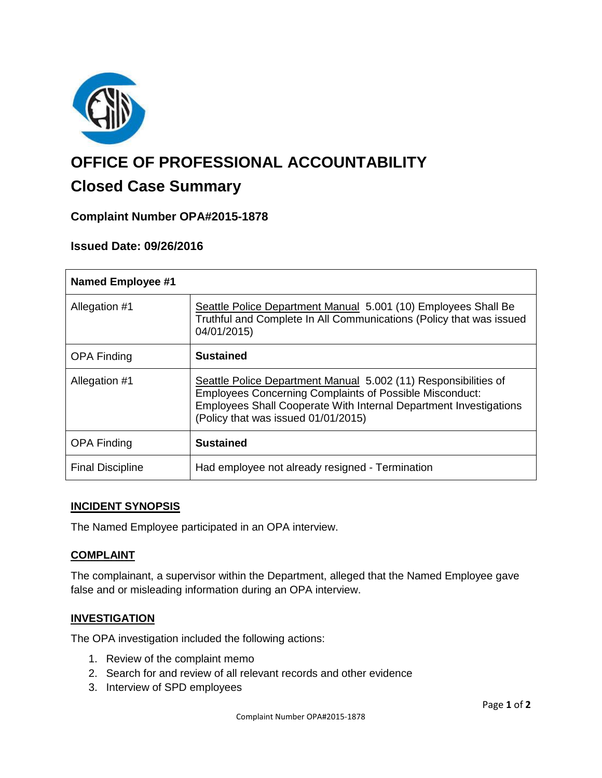

# **OFFICE OF PROFESSIONAL ACCOUNTABILITY**

# **Closed Case Summary**

# **Complaint Number OPA#2015-1878**

# **Issued Date: 09/26/2016**

| <b>Named Employee #1</b> |                                                                                                                                                                                                                                               |
|--------------------------|-----------------------------------------------------------------------------------------------------------------------------------------------------------------------------------------------------------------------------------------------|
| Allegation #1            | Seattle Police Department Manual 5.001 (10) Employees Shall Be<br>Truthful and Complete In All Communications (Policy that was issued<br>04/01/2015)                                                                                          |
| <b>OPA Finding</b>       | <b>Sustained</b>                                                                                                                                                                                                                              |
| Allegation #1            | Seattle Police Department Manual 5.002 (11) Responsibilities of<br><b>Employees Concerning Complaints of Possible Misconduct:</b><br>Employees Shall Cooperate With Internal Department Investigations<br>(Policy that was issued 01/01/2015) |
| <b>OPA Finding</b>       | <b>Sustained</b>                                                                                                                                                                                                                              |
| <b>Final Discipline</b>  | Had employee not already resigned - Termination                                                                                                                                                                                               |

#### **INCIDENT SYNOPSIS**

The Named Employee participated in an OPA interview.

# **COMPLAINT**

The complainant, a supervisor within the Department, alleged that the Named Employee gave false and or misleading information during an OPA interview.

#### **INVESTIGATION**

The OPA investigation included the following actions:

- 1. Review of the complaint memo
- 2. Search for and review of all relevant records and other evidence
- 3. Interview of SPD employees